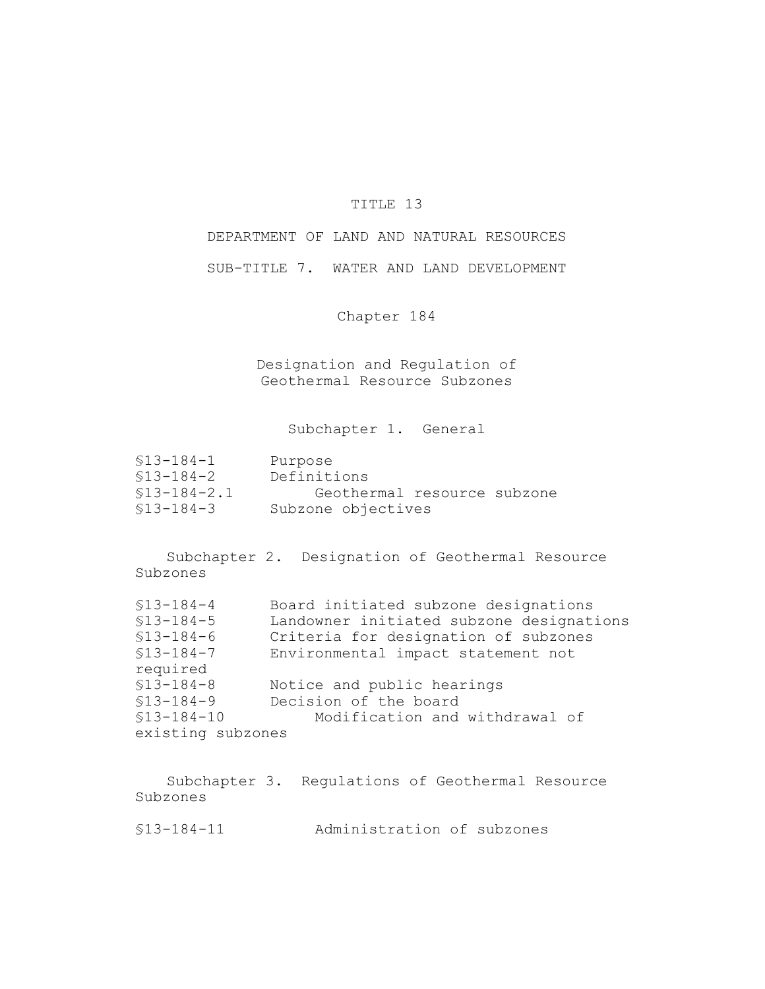## TITLE 13

DEPARTMENT OF LAND AND NATURAL RESOURCES

SUB-TITLE 7. WATER AND LAND DEVELOPMENT

Chapter 184

Designation and Regulation of Geothermal Resource Subzones

Subchapter 1. General

| \$13-184-1    | Purpose                     |
|---------------|-----------------------------|
| \$13-184-2    | Definitions                 |
| $$13-184-2.1$ | Geothermal resource subzone |
| \$13-184-3    | Subzone objectives          |

Subchapter 2. Designation of Geothermal Resource Subzones

| $$13 - 184 - 4$   | Board initiated subzone designations     |
|-------------------|------------------------------------------|
| $$13-184-5$       | Landowner initiated subzone designations |
| $$13 - 184 - 6$   | Criteria for designation of subzones     |
| $$13-184-7$       | Environmental impact statement not       |
| required          |                                          |
| $$13 - 184 - 8$   | Notice and public hearings               |
| $$13-184-9$       | Decision of the board                    |
| $$13 - 184 - 10$  | Modification and withdrawal of           |
| existing subzones |                                          |

Subchapter 3. Regulations of Geothermal Resource Subzones

§13-184-11 Administration of subzones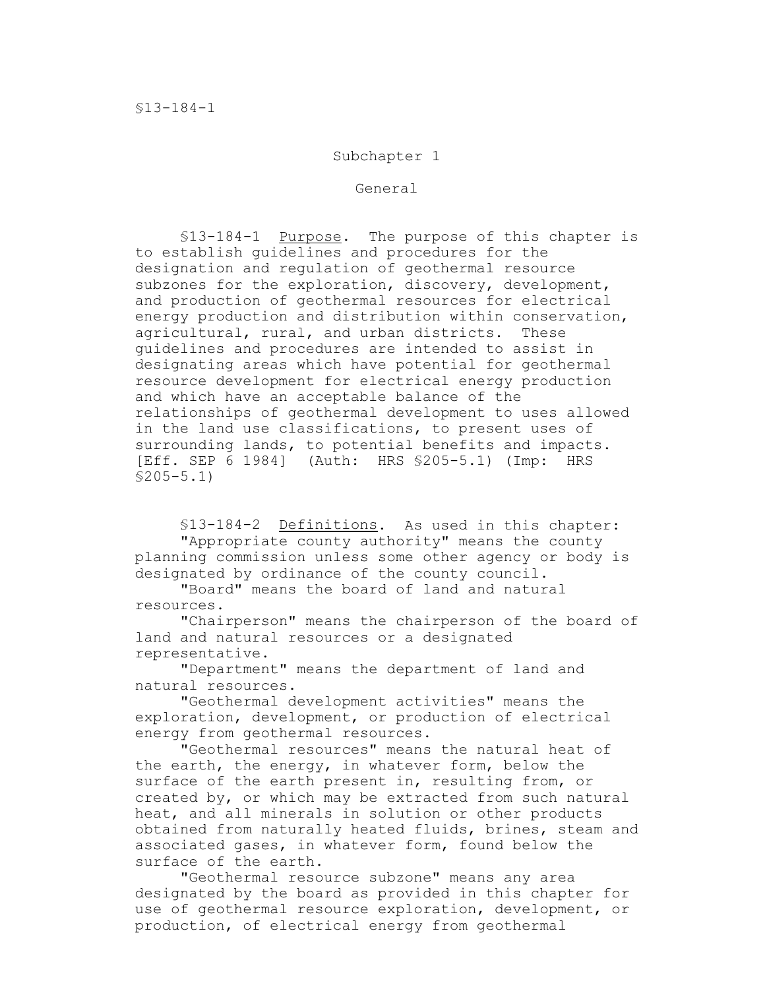## Subchapter 1

General

§13-184-1 Purpose. The purpose of this chapter is to establish guidelines and procedures for the designation and regulation of geothermal resource subzones for the exploration, discovery, development, and production of geothermal resources for electrical energy production and distribution within conservation, agricultural, rural, and urban districts. These guidelines and procedures are intended to assist in designating areas which have potential for geothermal resource development for electrical energy production and which have an acceptable balance of the relationships of geothermal development to uses allowed in the land use classifications, to present uses of surrounding lands, to potential benefits and impacts. [Eff. SEP 6 1984] (Auth: HRS §205-5.1) (Imp: HRS §205-5.1)

§13-184-2 Definitions. As used in this chapter: "Appropriate county authority" means the county planning commission unless some other agency or body is designated by ordinance of the county council.

"Board" means the board of land and natural resources.

"Chairperson" means the chairperson of the board of land and natural resources or a designated representative.

"Department" means the department of land and natural resources.

"Geothermal development activities" means the exploration, development, or production of electrical energy from geothermal resources.

"Geothermal resources" means the natural heat of the earth, the energy, in whatever form, below the surface of the earth present in, resulting from, or created by, or which may be extracted from such natural heat, and all minerals in solution or other products obtained from naturally heated fluids, brines, steam and associated gases, in whatever form, found below the surface of the earth.

"Geothermal resource subzone" means any area designated by the board as provided in this chapter for use of geothermal resource exploration, development, or production, of electrical energy from geothermal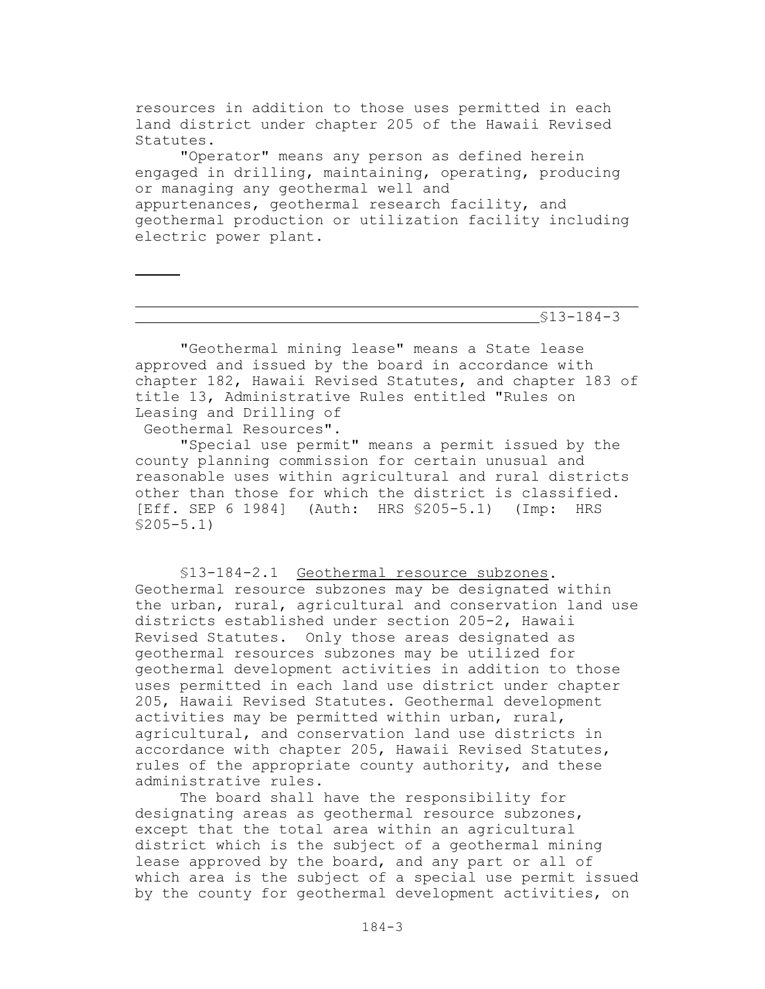resources in addition to those uses permitted in each land district under chapter 205 of the Hawaii Revised Statutes.

"Operator" means any person as defined herein engaged in drilling, maintaining, operating, producing or managing any geothermal well and appurtenances, geothermal research facility, and geothermal production or utilization facility including electric power plant.

§13-184-3

"Geothermal mining lease" means a State lease approved and issued by the board in accordance with chapter 182, Hawaii Revised Statutes, and chapter 183 of title 13, Administrative Rules entitled "Rules on Leasing and Drilling of

Geothermal Resources".

"Special use permit" means a permit issued by the county planning commission for certain unusual and reasonable uses within agricultural and rural districts other than those for which the district is classified. [Eff. SEP 6 1984] (Auth: HRS §205-5.1) (Imp: HRS §205-5.1)

§13-184-2.1 Geothermal resource subzones. Geothermal resource subzones may be designated within the urban, rural, agricultural and conservation land use districts established under section 205-2, Hawaii Revised Statutes. Only those areas designated as geothermal resources subzones may be utilized for geothermal development activities in addition to those uses permitted in each land use district under chapter 205, Hawaii Revised Statutes. Geothermal development activities may be permitted within urban, rural, agricultural, and conservation land use districts in accordance with chapter 205, Hawaii Revised Statutes, rules of the appropriate county authority, and these administrative rules.

The board shall have the responsibility for designating areas as geothermal resource subzones, except that the total area within an agricultural district which is the subject of a geothermal mining lease approved by the board, and any part or all of which area is the subject of a special use permit issued by the county for geothermal development activities, on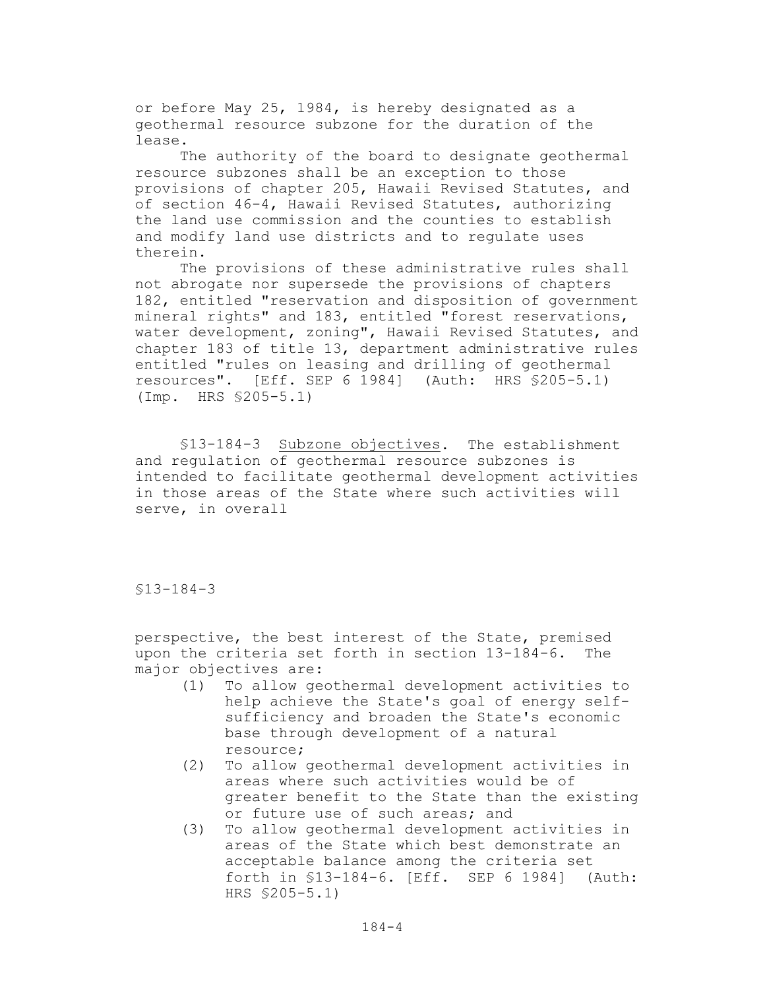or before May 25, 1984, is hereby designated as a geothermal resource subzone for the duration of the lease.

The authority of the board to designate geothermal resource subzones shall be an exception to those provisions of chapter 205, Hawaii Revised Statutes, and of section 46-4, Hawaii Revised Statutes, authorizing the land use commission and the counties to establish and modify land use districts and to regulate uses therein.

The provisions of these administrative rules shall not abrogate nor supersede the provisions of chapters 182, entitled "reservation and disposition of government mineral rights" and 183, entitled "forest reservations, water development, zoning", Hawaii Revised Statutes, and chapter 183 of title 13, department administrative rules entitled "rules on leasing and drilling of geothermal resources". [Eff. SEP 6 1984] (Auth: HRS §205-5.1) (Imp. HRS §205-5.1)

§13-184-3 Subzone objectives. The establishment and regulation of geothermal resource subzones is intended to facilitate geothermal development activities in those areas of the State where such activities will serve, in overall

§13-184-3

perspective, the best interest of the State, premised upon the criteria set forth in section 13-184-6. The major objectives are:

- (1) To allow geothermal development activities to help achieve the State's goal of energy selfsufficiency and broaden the State's economic base through development of a natural resource;
- (2) To allow geothermal development activities in areas where such activities would be of greater benefit to the State than the existing or future use of such areas; and
- (3) To allow geothermal development activities in areas of the State which best demonstrate an acceptable balance among the criteria set forth in §13-184-6. [Eff. SEP 6 1984] (Auth: HRS §205-5.1)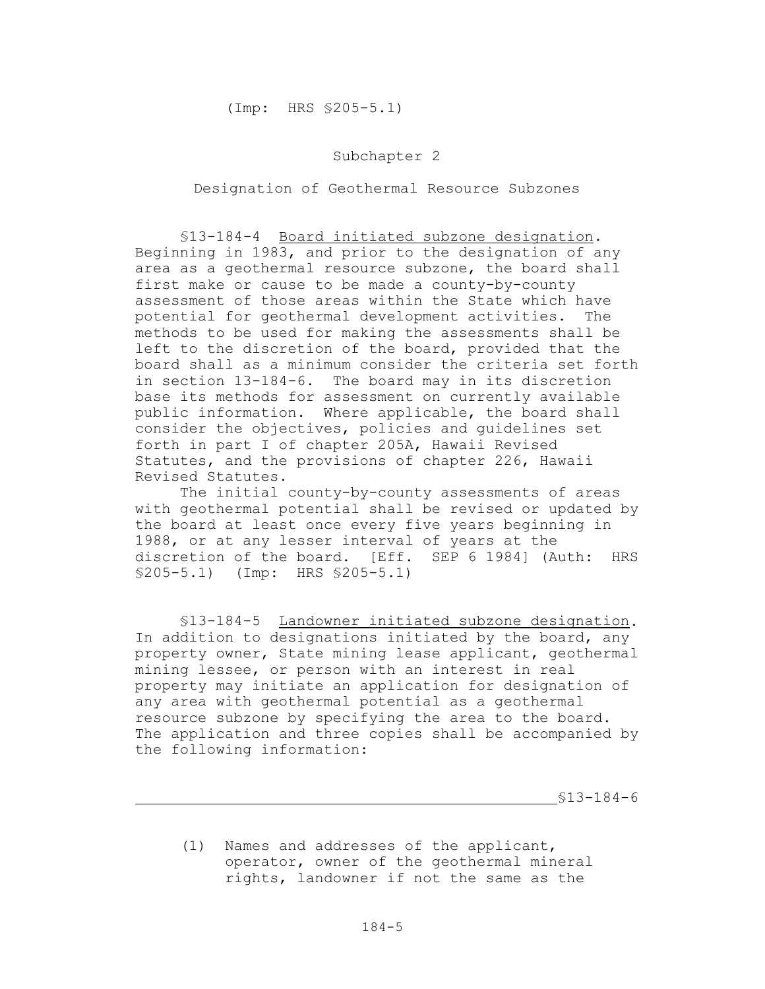## Subchapter 2

Designation of Geothermal Resource Subzones

§13-184-4 Board initiated subzone designation. Beginning in 1983, and prior to the designation of any area as a geothermal resource subzone, the board shall first make or cause to be made a county-by-county assessment of those areas within the State which have potential for geothermal development activities. The methods to be used for making the assessments shall be left to the discretion of the board, provided that the board shall as a minimum consider the criteria set forth in section 13-184-6. The board may in its discretion base its methods for assessment on currently available public information. Where applicable, the board shall consider the objectives, policies and guidelines set forth in part I of chapter 205A, Hawaii Revised Statutes, and the provisions of chapter 226, Hawaii Revised Statutes.

The initial county-by-county assessments of areas with geothermal potential shall be revised or updated by the board at least once every five years beginning in 1988, or at any lesser interval of years at the discretion of the board. [Eff. SEP 6 1984] (Auth: HRS §205-5.1) (Imp: HRS §205-5.1)

§13-184-5 Landowner initiated subzone designation. In addition to designations initiated by the board, any property owner, State mining lease applicant, geothermal mining lessee, or person with an interest in real property may initiate an application for designation of any area with geothermal potential as a geothermal resource subzone by specifying the area to the board. The application and three copies shall be accompanied by the following information:

§13-184-6

(1) Names and addresses of the applicant, operator, owner of the geothermal mineral rights, landowner if not the same as the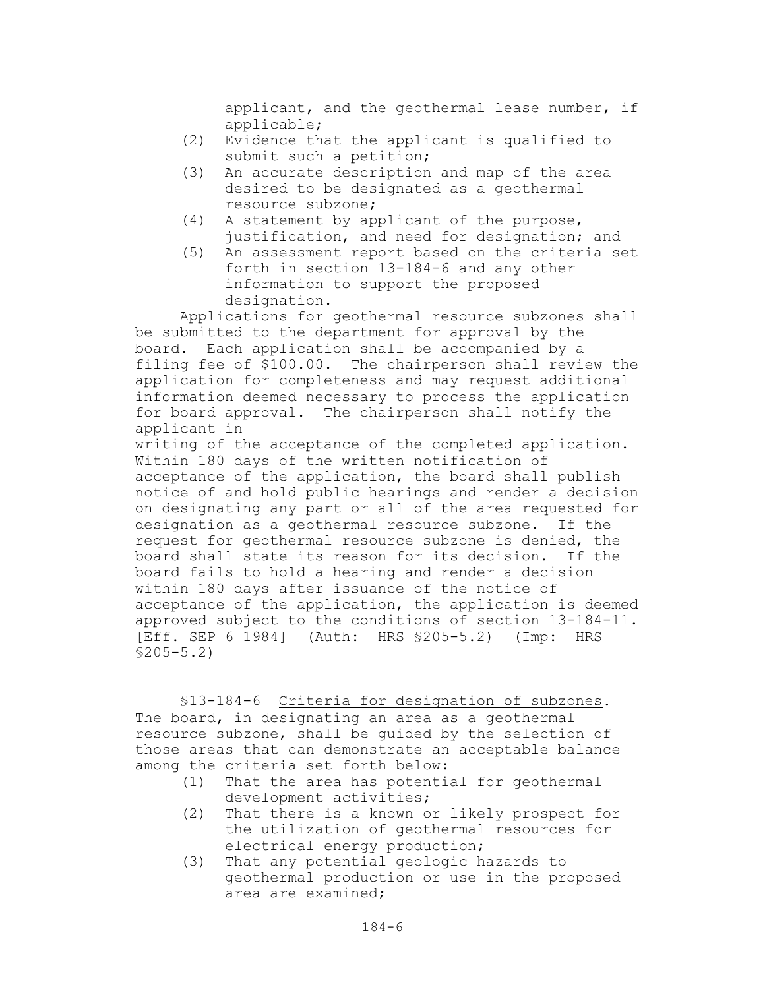applicant, and the geothermal lease number, if applicable;

- (2) Evidence that the applicant is qualified to submit such a petition;
- (3) An accurate description and map of the area desired to be designated as a geothermal resource subzone;
- (4) A statement by applicant of the purpose, justification, and need for designation; and
- (5) An assessment report based on the criteria set forth in section 13-184-6 and any other information to support the proposed designation.

Applications for geothermal resource subzones shall be submitted to the department for approval by the board. Each application shall be accompanied by a filing fee of \$100.00. The chairperson shall review the application for completeness and may request additional information deemed necessary to process the application for board approval. The chairperson shall notify the applicant in

writing of the acceptance of the completed application. Within 180 days of the written notification of acceptance of the application, the board shall publish notice of and hold public hearings and render a decision on designating any part or all of the area requested for designation as a geothermal resource subzone. If the request for geothermal resource subzone is denied, the board shall state its reason for its decision. If the board fails to hold a hearing and render a decision within 180 days after issuance of the notice of acceptance of the application, the application is deemed approved subject to the conditions of section 13-184-11. [Eff. SEP 6 1984] (Auth: HRS §205-5.2) (Imp: HRS §205-5.2)

§13-184-6 Criteria for designation of subzones. The board, in designating an area as a geothermal resource subzone, shall be guided by the selection of those areas that can demonstrate an acceptable balance among the criteria set forth below:

- (1) That the area has potential for geothermal development activities;
- (2) That there is a known or likely prospect for the utilization of geothermal resources for electrical energy production;
- (3) That any potential geologic hazards to geothermal production or use in the proposed area are examined;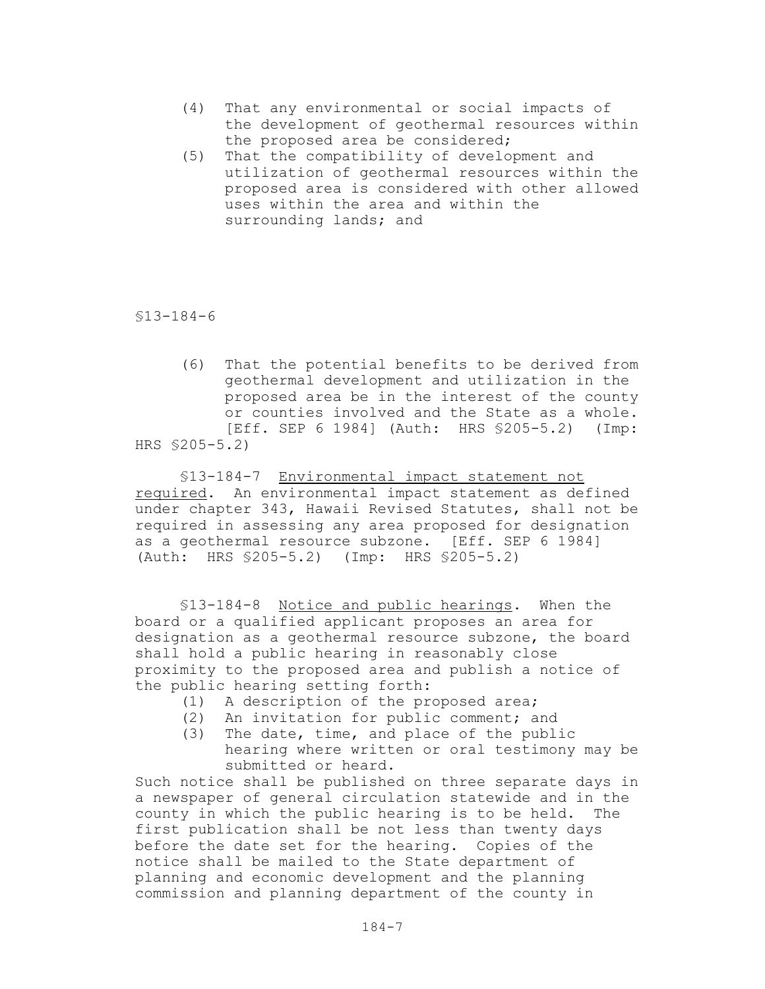- (4) That any environmental or social impacts of the development of geothermal resources within the proposed area be considered;
- (5) That the compatibility of development and utilization of geothermal resources within the proposed area is considered with other allowed uses within the area and within the surrounding lands; and

§13-184-6

(6) That the potential benefits to be derived from geothermal development and utilization in the proposed area be in the interest of the county or counties involved and the State as a whole. [Eff. SEP 6 1984] (Auth: HRS \$205-5.2) (Imp: HRS §205-5.2)

§13-184-7 Environmental impact statement not required. An environmental impact statement as defined under chapter 343, Hawaii Revised Statutes, shall not be required in assessing any area proposed for designation as a geothermal resource subzone. [Eff. SEP 6 1984] (Auth: HRS §205-5.2) (Imp: HRS §205-5.2)

§13-184-8 Notice and public hearings. When the board or a qualified applicant proposes an area for designation as a geothermal resource subzone, the board shall hold a public hearing in reasonably close proximity to the proposed area and publish a notice of the public hearing setting forth:

- (1) A description of the proposed area;
- (2) An invitation for public comment; and
- (3) The date, time, and place of the public hearing where written or oral testimony may be submitted or heard.

Such notice shall be published on three separate days in a newspaper of general circulation statewide and in the county in which the public hearing is to be held. The first publication shall be not less than twenty days before the date set for the hearing. Copies of the notice shall be mailed to the State department of planning and economic development and the planning commission and planning department of the county in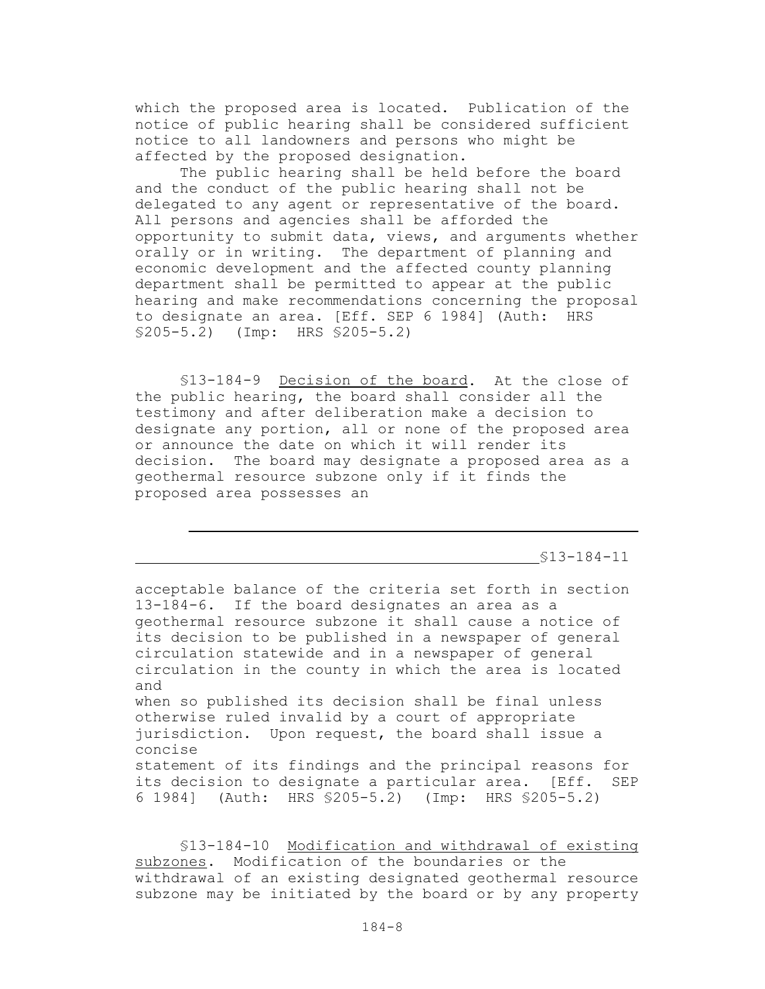which the proposed area is located. Publication of the notice of public hearing shall be considered sufficient notice to all landowners and persons who might be affected by the proposed designation.

The public hearing shall be held before the board and the conduct of the public hearing shall not be delegated to any agent or representative of the board. All persons and agencies shall be afforded the opportunity to submit data, views, and arguments whether orally or in writing. The department of planning and economic development and the affected county planning department shall be permitted to appear at the public hearing and make recommendations concerning the proposal to designate an area. [Eff. SEP 6 1984] (Auth: HRS §205-5.2) (Imp: HRS §205-5.2)

§13-184-9 Decision of the board. At the close of the public hearing, the board shall consider all the testimony and after deliberation make a decision to designate any portion, all or none of the proposed area or announce the date on which it will render its decision. The board may designate a proposed area as a geothermal resource subzone only if it finds the proposed area possesses an

§13-184-11

acceptable balance of the criteria set forth in section 13-184-6. If the board designates an area as a geothermal resource subzone it shall cause a notice of its decision to be published in a newspaper of general circulation statewide and in a newspaper of general circulation in the county in which the area is located and when so published its decision shall be final unless otherwise ruled invalid by a court of appropriate jurisdiction. Upon request, the board shall issue a concise statement of its findings and the principal reasons for its decision to designate a particular area. [Eff. SEP 6 1984] (Auth: HRS §205-5.2) (Imp: HRS §205-5.2)

§13-184-10 Modification and withdrawal of existing subzones. Modification of the boundaries or the withdrawal of an existing designated geothermal resource subzone may be initiated by the board or by any property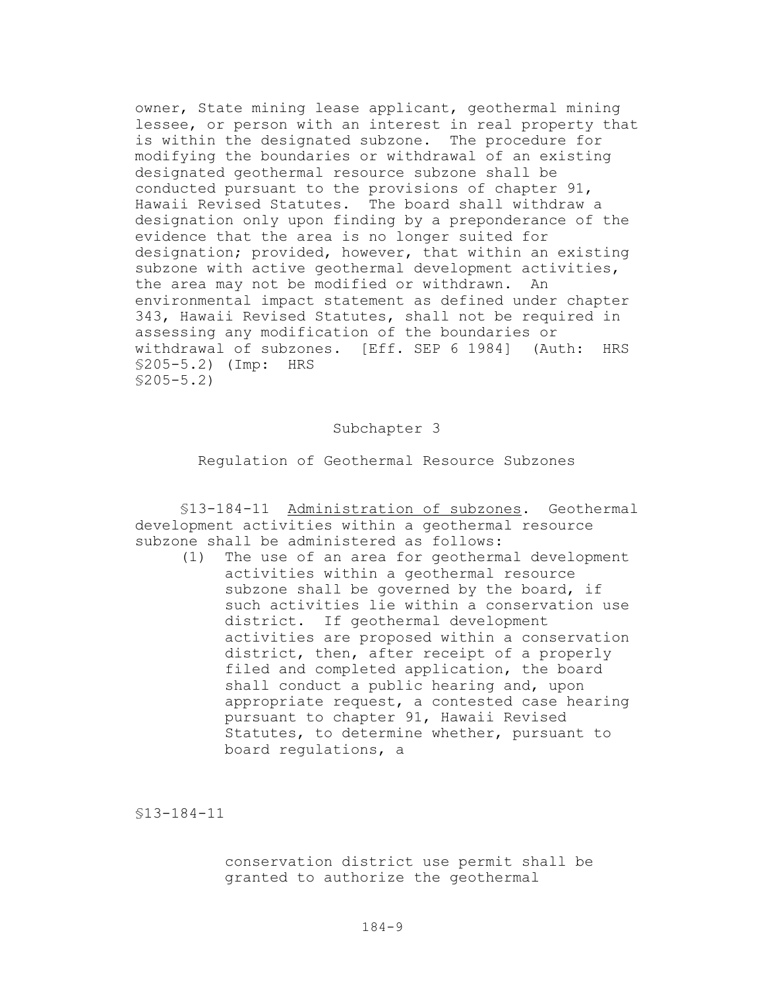owner, State mining lease applicant, geothermal mining lessee, or person with an interest in real property that is within the designated subzone. The procedure for modifying the boundaries or withdrawal of an existing designated geothermal resource subzone shall be conducted pursuant to the provisions of chapter 91, Hawaii Revised Statutes. The board shall withdraw a designation only upon finding by a preponderance of the evidence that the area is no longer suited for designation; provided, however, that within an existing subzone with active geothermal development activities, the area may not be modified or withdrawn. An environmental impact statement as defined under chapter 343, Hawaii Revised Statutes, shall not be required in assessing any modification of the boundaries or withdrawal of subzones. [Eff. SEP 6 1984] (Auth: HRS §205-5.2) (Imp: HRS §205-5.2)

## Subchapter 3

Regulation of Geothermal Resource Subzones

§13-184-11 Administration of subzones. Geothermal development activities within a geothermal resource subzone shall be administered as follows:

(1) The use of an area for geothermal development activities within a geothermal resource subzone shall be governed by the board, if such activities lie within a conservation use district. If geothermal development activities are proposed within a conservation district, then, after receipt of a properly filed and completed application, the board shall conduct a public hearing and, upon appropriate request, a contested case hearing pursuant to chapter 91, Hawaii Revised Statutes, to determine whether, pursuant to board regulations, a

§13-184-11

conservation district use permit shall be granted to authorize the geothermal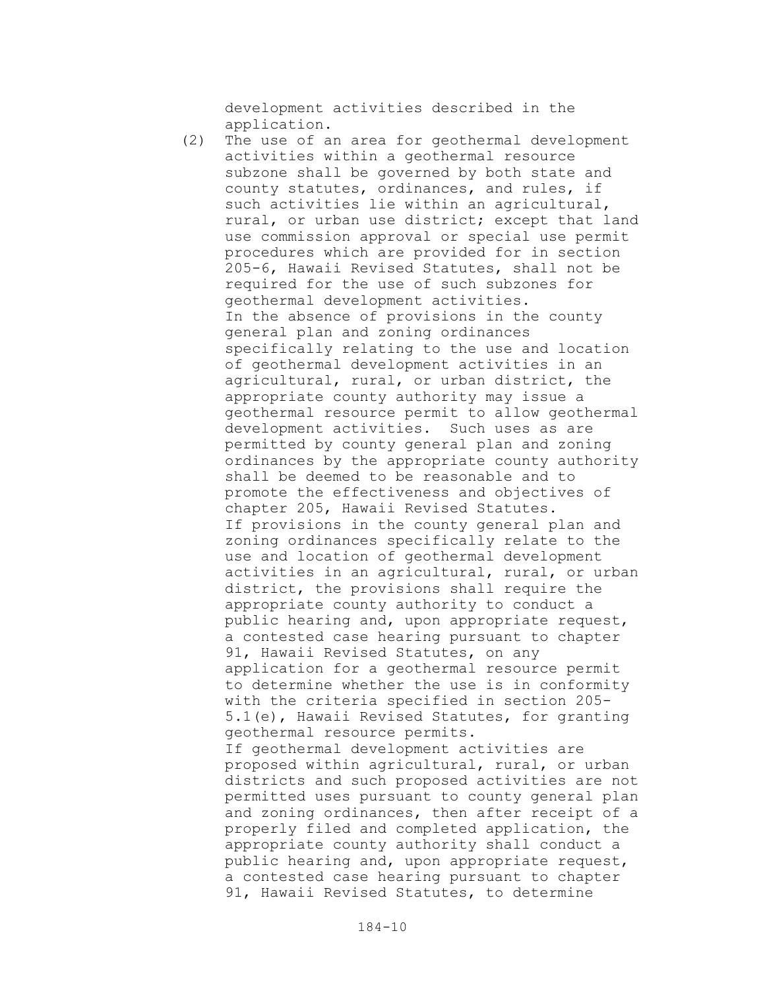development activities described in the application.

(2) The use of an area for geothermal development activities within a geothermal resource subzone shall be governed by both state and county statutes, ordinances, and rules, if such activities lie within an agricultural, rural, or urban use district; except that land use commission approval or special use permit procedures which are provided for in section 205-6, Hawaii Revised Statutes, shall not be required for the use of such subzones for geothermal development activities. In the absence of provisions in the county general plan and zoning ordinances specifically relating to the use and location of geothermal development activities in an agricultural, rural, or urban district, the appropriate county authority may issue a geothermal resource permit to allow geothermal development activities. Such uses as are permitted by county general plan and zoning ordinances by the appropriate county authority shall be deemed to be reasonable and to promote the effectiveness and objectives of chapter 205, Hawaii Revised Statutes. If provisions in the county general plan and zoning ordinances specifically relate to the use and location of geothermal development activities in an agricultural, rural, or urban district, the provisions shall require the appropriate county authority to conduct a public hearing and, upon appropriate request, a contested case hearing pursuant to chapter 91, Hawaii Revised Statutes, on any application for a geothermal resource permit to determine whether the use is in conformity with the criteria specified in section 205- 5.1(e), Hawaii Revised Statutes, for granting geothermal resource permits. If geothermal development activities are proposed within agricultural, rural, or urban districts and such proposed activities are not permitted uses pursuant to county general plan and zoning ordinances, then after receipt of a properly filed and completed application, the appropriate county authority shall conduct a public hearing and, upon appropriate request,

a contested case hearing pursuant to chapter 91, Hawaii Revised Statutes, to determine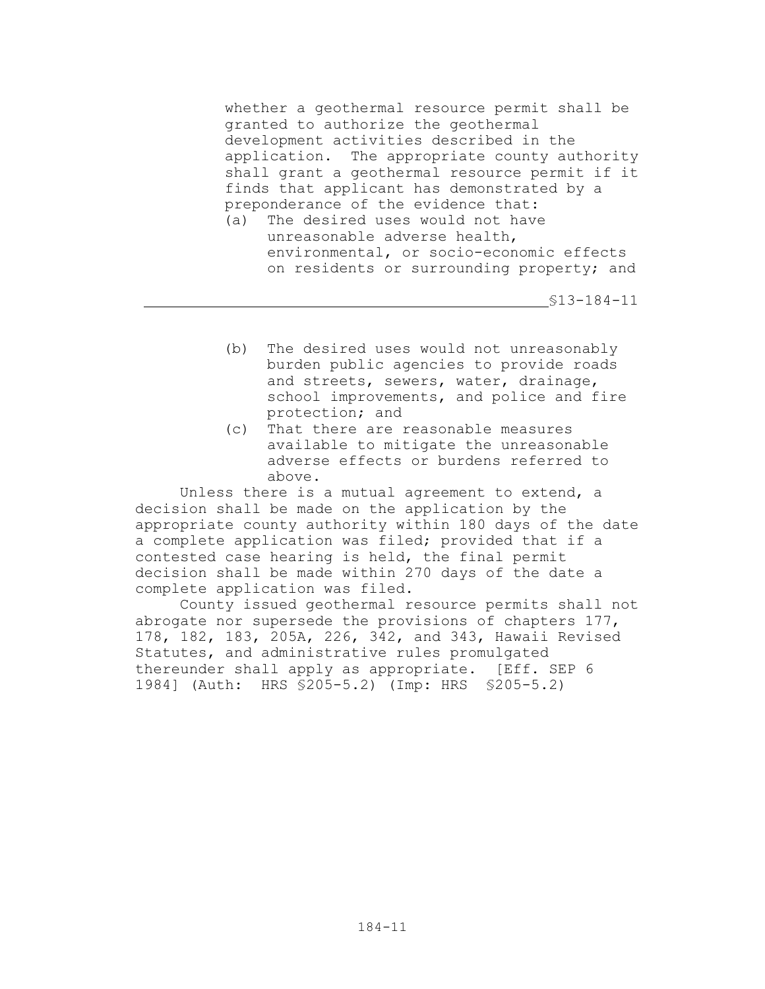whether a geothermal resource permit shall be granted to authorize the geothermal development activities described in the application. The appropriate county authority shall grant a geothermal resource permit if it finds that applicant has demonstrated by a preponderance of the evidence that:

(a) The desired uses would not have unreasonable adverse health, environmental, or socio-economic effects on residents or surrounding property; and

§13-184-11

- (b) The desired uses would not unreasonably burden public agencies to provide roads and streets, sewers, water, drainage, school improvements, and police and fire protection; and
- (c) That there are reasonable measures available to mitigate the unreasonable adverse effects or burdens referred to above.

Unless there is a mutual agreement to extend, a decision shall be made on the application by the appropriate county authority within 180 days of the date a complete application was filed; provided that if a contested case hearing is held, the final permit decision shall be made within 270 days of the date a complete application was filed.

County issued geothermal resource permits shall not abrogate nor supersede the provisions of chapters 177, 178, 182, 183, 205A, 226, 342, and 343, Hawaii Revised Statutes, and administrative rules promulgated thereunder shall apply as appropriate. [Eff. SEP 6 1984] (Auth: HRS §205-5.2) (Imp: HRS §205-5.2)